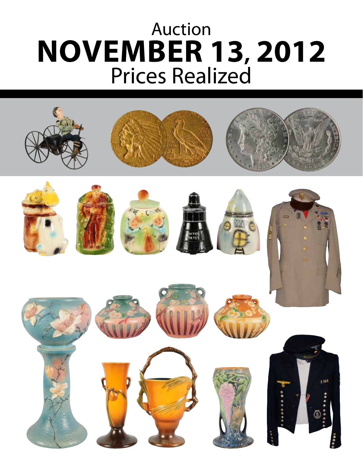## Auction **November 13, 2012** Prices Realized

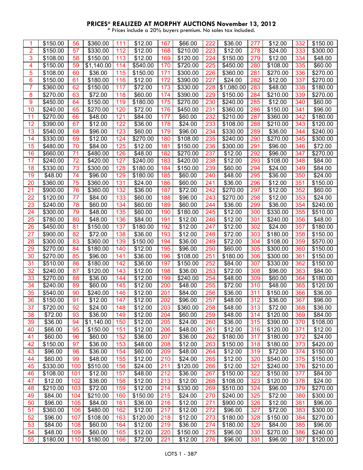## **PRICES\* REALIZED AT MORPHY AUCTIONS November 13, 2012**

\* Prices include a 20% buyers premium. No sales tax included.

| 1              | \$150.00             | 56  | \$360.00           | 111 | \$12.00  | 167 | \$66.00  | 222        | \$36.00            | 277 | \$12.00           | 332 | \$150.00             |
|----------------|----------------------|-----|--------------------|-----|----------|-----|----------|------------|--------------------|-----|-------------------|-----|----------------------|
| 2              | \$150.00             | 57  | \$330.00           | 112 | \$12.00  | 168 | \$210.00 | 223        | \$12.00            | 278 | \$24.00           | 333 | \$300.00             |
| 3              | \$108.00             | 58  | \$150.00           | 113 | \$12.00  | 169 | \$120.00 | 224        | \$150.00           | 279 | \$12.00           | 334 | \$48.00              |
| 4              | \$150.00             | 59  | \$1,140.00         | 114 | \$540.00 | 170 | \$720.00 | 225        | \$450.00           | 280 | \$108.00          | 335 | \$60.00              |
| 5              | \$108.00             | 60  | \$36.00            | 115 | \$150.00 | 171 | \$300.00 | 226        | \$360.00           | 281 | \$270.00          | 336 | \$270.00             |
| 6              | \$150.00             | 61  | \$180.00           | 116 | \$12.00  | 172 | \$390.00 | 227        | \$24.00            | 282 | \$12.00           | 337 | \$270.00             |
| $\overline{7}$ | \$360.00             | 62  | \$150.00           | 117 | \$72.00  | 173 | \$330.00 | 228        | \$1,080.00         | 283 | \$48.00           | 338 | \$180.00             |
| 8              | \$270.00             | 63  | \$72.00            | 118 | \$60.00  | 174 | \$390.00 | 229        | \$150.00           | 284 | \$210.00          | 339 | \$270.00             |
| 9              | \$450.00             | 64  | \$150.00           | 119 | \$180.00 | 175 | \$270.00 | 230        | \$240.00           | 285 | \$12.00           | 340 | \$60.00              |
| 10             | \$240.00             | 65  | \$270.00           | 120 | \$72.00  | 176 | \$450.00 | 231        | \$360.00           | 286 | \$150.00          | 341 | \$96.00              |
| 11             | \$270.00             | 66  | \$48.00            | 121 | \$84.00  | 177 | \$60.00  | 232        | \$210.00           | 287 | \$360.00          | 342 | \$180.00             |
| 12             | \$390.00             | 67  | \$12.00            | 122 | \$36.00  | 178 | \$24.00  | 233        | \$108.00           | 288 | $\sqrt{2}$ 210.00 | 343 | \$120.00             |
| 13             | \$540.00             | 68  | \$96.00            | 123 | \$60.00  | 179 | \$96.00  | 234        | \$330.00           | 289 | \$36.00           | 344 | \$240.00             |
| 14             | \$330.00             | 69  | \$12.00            | 124 | \$270.00 | 180 | \$108.00 | 235        | \$240.00           | 290 | \$270.00          | 345 | \$300.00             |
| 15             | \$480.00             | 70  | \$84.00            | 125 | \$12.00  | 181 | \$150.00 | 236        | \$300.00           | 291 | \$96.00           | 346 | \$72.00              |
| 16             | \$660.00             | 71  | \$480.00           | 126 | \$48.00  | 182 | \$270.00 | 237        | \$12.00            | 292 | \$96.00           | 347 | \$270.00             |
| 17             | \$240.00             | 72  | \$420.00           | 127 | \$240.00 | 183 | \$420.00 | 238        | \$12.00            | 293 | \$108.00          | 348 | \$84.00              |
| 18             | \$330.00             | 73  | \$300.00           | 128 | \$180.00 | 184 | \$150.00 | 239        | \$60.00            | 294 | \$24.00           | 349 | \$84.00              |
| 19             | \$48.00              | 74  | \$96.00            | 129 | \$180.00 | 185 | \$60.00  | 240        | \$48.00            | 295 | \$36.00           | 350 | \$24.00              |
| 20             | \$360.00             | 75  | \$360.00           | 131 | \$24.00  | 186 | \$60.00  | 241        | \$36.00            | 296 | \$12.00           | 351 | \$150.00             |
| 21             | \$900.00             | 76  | \$360.00           | 132 | \$36.00  | 187 | \$72.00  | 242        | \$270.00           | 297 | \$12.00           | 352 | \$60.00              |
| 22             | \$120.00             | 77  | \$84.00            | 133 | \$60.00  | 188 | \$96.00  | 243        | \$270.00           | 298 | \$12.00           | 353 | \$24.00              |
| 23             |                      | 78  |                    | 134 | \$60.00  | 189 |          |            |                    | 299 | \$36.00           | 354 |                      |
|                | \$240.00<br>\$300.00 | 79  | \$60.00<br>\$48.00 | 135 | \$60.00  | 190 | \$60.00  | 244<br>245 | \$36.00<br>\$12.00 | 300 | \$330.00          | 355 | \$240.00<br>\$510.00 |
| 24             |                      |     |                    |     |          |     | \$180.00 |            |                    |     |                   |     |                      |
| 25             | \$780.00             | 80  | \$48.00            | 136 | \$84.00  | 191 | \$12.00  | 246        | \$12.00            | 301 | \$240.00          | 356 | \$48.00              |
| 26             | \$450.00             | 81  | \$150.00           | 137 | \$180.00 | 192 | \$12.00  | 247        | \$12.00            | 302 | \$24.00           | 357 | \$180.00             |
| 27             | \$900.00             | 82  | \$72.00            | 138 | \$36.00  | 193 | \$12.00  | 248        | \$72.00            | 303 | \$180.00          | 358 | \$150.00             |
| 28             | \$300.00             | 83  | \$360.00           | 139 | \$150.00 | 194 | \$36.00  | 249        | \$72.00            | 304 | \$108.00          | 359 | \$570.00             |
| 29             | \$270.00             | 84  | \$180.00           | 140 | \$12.00  | 195 | \$96.00  | 250        | \$60.00            | 305 | \$300.00          | 360 | \$150.00             |
| 30             | \$270.00             | 85  | \$96.00            | 141 | \$36.00  | 196 | \$108.00 | 251        | \$180.00           | 306 | \$300.00          | 361 | \$150.00             |
| 31             | \$510.00             | 86  | \$180.00           | 142 | \$36.00  | 197 | \$150.00 | 252        | \$84.00            | 307 | \$330.00          | 362 | \$150.00             |
| 32             | \$240.00             | 87  | \$120.00           | 143 | \$12.00  | 198 | \$36.00  | 253        | \$72.00            | 308 | \$96.00           | 363 | \$84.00              |
| 33             | \$270.00             | 88  | \$36.00            | 144 | \$12.00  | 199 | \$240.00 | 254        | \$48.00            | 309 | \$60.00           | 364 | \$180.00             |
| 34             | \$240.00             | 89  | \$60.00            | 145 | \$12.00  | 200 | \$48.00  | 255        | \$72.00            | 310 | \$48.00           | 365 | \$120.00             |
| 35             | \$540.00             | 90  | \$240.00           | 146 | \$12.00  | 201 | \$84.00  | 256        | \$36.00            | 311 | \$150.00          | 366 | \$36.00              |
| 36             | \$150.00             | 91  | \$12.00            | 147 | \$12.00  | 202 | \$96.00  | 257        | \$48.00            | 312 | \$36.00           | 367 | \$96.00              |
| 37             | \$720.00             | 92  | \$24.00            | 148 | \$12.00  | 203 | \$360.00 | 258        | \$48.00            | 313 | \$72.00           | 368 | \$36.00              |
| 38             | \$72.00              | 93  | \$36.00            | 149 | \$12.00  | 204 | \$60.00  | 259        | \$48.00            | 314 | \$120.00          | 369 | \$84.00              |
| 39             | \$36.00              | 94  | \$1,140.00         | 150 | \$12.00  | 205 | \$24.00  | 260        | \$36.00            | 315 | \$390.00          | 370 | \$108.00             |
| 40             | \$66.00              | 95  | \$150.00           | 151 | \$12.00  | 206 | \$48.00  | 261        | \$12.00            | 316 | \$120.00          | 371 | \$12.00              |
| 41             | \$60.00              | 96  | \$60.00            | 152 | \$36.00  | 207 | \$36.00  | 262        | \$180.00           | 317 | \$180.00          | 372 | \$24.00              |
| 42             | \$150.00             | 97  | \$36.00            | 153 | \$48.00  | 208 | \$12.00  | 263        | \$150.00           | 318 | \$180.00          | 373 | \$420.00             |
| 43             | \$96.00              | 98  | \$36.00            | 154 | \$60.00  | 209 | \$48.00  | 264        | \$12.00            | 319 | \$72.00           | 374 | \$150.00             |
| 44             | \$60.00              | 99  | \$48.00            | 155 | \$12.00  | 210 | \$24.00  | 265        | \$12.00            | 320 | \$540.00          | 375 | \$150.00             |
| 45             | \$330.00             | 100 | \$510.00           | 156 | \$24.00  | 211 | \$120.00 | 266        | \$12.00            | 321 | \$240.00          | 376 | \$210.00             |
| 46             | \$108.00             | 101 | \$12.00            | 157 | \$48.00  | 212 | \$36.00  | 267        | \$150.00           | 322 | \$150.00          | 377 | \$84.00              |
| 47             | \$12.00              | 102 | \$36.00            | 158 | \$12.00  | 213 | \$12.00  | 268        | \$108.00           | 323 | \$120.00          | 378 | \$24.00              |
| 48             | \$210.00             | 103 | \$72.00            | 159 | \$12.00  | 214 | \$330.00 | 269        | \$510.00           | 324 | \$96.00           | 379 | \$270.00             |
| 49             | \$84.00              | 104 | \$210.00           | 160 | \$150.00 | 215 | \$24.00  | 270        | \$240.00           | 325 | \$72.00           | 380 | \$300.00             |
| 50             | \$96.00              | 105 | \$84.00            | 161 | \$36.00  | 216 | \$12.00  | 271        | \$900.00           | 326 | \$12.00           | 381 | \$96.00              |
| 51             | \$360.00             | 106 | \$480.00           | 162 | \$12.00  | 217 | \$12.00  | 272        | \$96.00            | 327 | \$72.00           | 383 | \$300.00             |
| 52             | \$96.00              | 107 | \$108.00           | 163 | \$120.00 | 218 | \$12.00  | 273        | \$180.00           | 328 | \$150.00          | 384 | \$270.00             |
| 53             | \$84.00              | 108 | \$60.00            | 164 | \$12.00  | 219 | \$36.00  | 274        | \$180.00           | 329 | \$84.00           | 385 | \$96.00              |
| 54             | \$48.00              | 109 | \$60.00            | 165 | \$12.00  | 220 | \$150.00 | 275        | \$96.00            | 330 | \$270.00          | 386 | \$240.00             |
| 55             | \$180.00             | 110 | \$180.00           | 166 | \$72.00  | 221 | \$12.00  | 276        | \$96.00            | 331 | \$96.00           | 387 | \$120.00             |